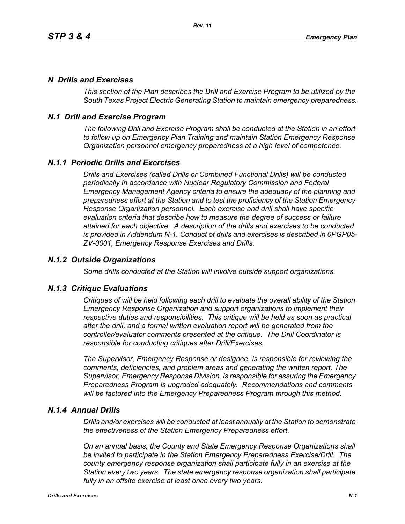## *N Drills and Exercises*

*This section of the Plan describes the Drill and Exercise Program to be utilized by the South Texas Project Electric Generating Station to maintain emergency preparedness.*

# *N.1 Drill and Exercise Program*

*The following Drill and Exercise Program shall be conducted at the Station in an effort to follow up on Emergency Plan Training and maintain Station Emergency Response Organization personnel emergency preparedness at a high level of competence.*

# *N.1.1 Periodic Drills and Exercises*

*Drills and Exercises (called Drills or Combined Functional Drills) will be conducted periodically in accordance with Nuclear Regulatory Commission and Federal Emergency Management Agency criteria to ensure the adequacy of the planning and preparedness effort at the Station and to test the proficiency of the Station Emergency Response Organization personnel. Each exercise and drill shall have specific evaluation criteria that describe how to measure the degree of success or failure attained for each objective. A description of the drills and exercises to be conducted is provided in Addendum N-1. Conduct of drills and exercises is described in 0PGP05- ZV-0001, Emergency Response Exercises and Drills.*

### *N.1.2 Outside Organizations*

*Some drills conducted at the Station will involve outside support organizations.* 

### *N.1.3 Critique Evaluations*

*Critiques of will be held following each drill to evaluate the overall ability of the Station Emergency Response Organization and support organizations to implement their respective duties and responsibilities. This critique will be held as soon as practical after the drill, and a formal written evaluation report will be generated from the controller/evaluator comments presented at the critique. The Drill Coordinator is responsible for conducting critiques after Drill/Exercises.* 

*The Supervisor, Emergency Response or designee, is responsible for reviewing the comments, deficiencies, and problem areas and generating the written report. The Supervisor, Emergency Response Division, is responsible for assuring the Emergency Preparedness Program is upgraded adequately. Recommendations and comments will be factored into the Emergency Preparedness Program through this method.* 

### *N.1.4 Annual Drills*

*Drills and/or exercises will be conducted at least annually at the Station to demonstrate the effectiveness of the Station Emergency Preparedness effort.* 

*On an annual basis, the County and State Emergency Response Organizations shall be invited to participate in the Station Emergency Preparedness Exercise/Drill. The county emergency response organization shall participate fully in an exercise at the Station every two years. The state emergency response organization shall participate fully in an offsite exercise at least once every two years.*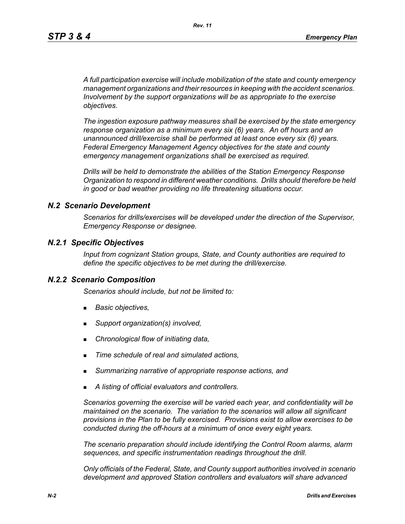*A full participation exercise will include mobilization of the state and county emergency management organizations and their resources in keeping with the accident scenarios. Involvement by the support organizations will be as appropriate to the exercise objectives.* 

*The ingestion exposure pathway measures shall be exercised by the state emergency response organization as a minimum every six (6) years. An off hours and an unannounced drill/exercise shall be performed at least once every six (6) years. Federal Emergency Management Agency objectives for the state and county emergency management organizations shall be exercised as required.*

*Drills will be held to demonstrate the abilities of the Station Emergency Response Organization to respond in different weather conditions. Drills should therefore be held in good or bad weather providing no life threatening situations occur.*

### *N.2 Scenario Development*

*Scenarios for drills/exercises will be developed under the direction of the Supervisor, Emergency Response or designee.* 

### *N.2.1 Specific Objectives*

*Input from cognizant Station groups, State, and County authorities are required to define the specific objectives to be met during the drill/exercise.*

#### *N.2.2 Scenario Composition*

*Scenarios should include, but not be limited to:*

- *Basic objectives,*
- *Support organization(s) involved,*
- *Chronological flow of initiating data,*
- *Time schedule of real and simulated actions,*
- *Summarizing narrative of appropriate response actions, and*
- *A listing of official evaluators and controllers.*

*Scenarios governing the exercise will be varied each year, and confidentiality will be maintained on the scenario. The variation to the scenarios will allow all significant provisions in the Plan to be fully exercised. Provisions exist to allow exercises to be conducted during the off-hours at a minimum of once every eight years.*

*The scenario preparation should include identifying the Control Room alarms, alarm sequences, and specific instrumentation readings throughout the drill.*

*Only officials of the Federal, State, and County support authorities involved in scenario development and approved Station controllers and evaluators will share advanced*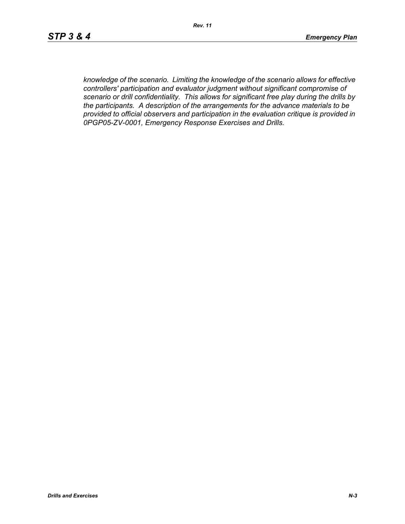*knowledge of the scenario. Limiting the knowledge of the scenario allows for effective controllers' participation and evaluator judgment without significant compromise of scenario or drill confidentiality. This allows for significant free play during the drills by the participants. A description of the arrangements for the advance materials to be provided to official observers and participation in the evaluation critique is provided in 0PGP05-ZV-0001, Emergency Response Exercises and Drills.*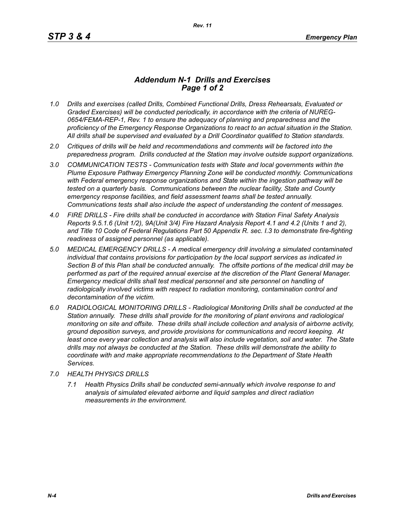## *Addendum N-1 Drills and Exercises Page 1 of 2*

- *1.0 Drills and exercises (called Drills, Combined Functional Drills, Dress Rehearsals, Evaluated or Graded Exercises) will be conducted periodically, in accordance with the criteria of NUREG-0654/FEMA-REP-1, Rev. 1 to ensure the adequacy of planning and preparedness and the proficiency of the Emergency Response Organizations to react to an actual situation in the Station. All drills shall be supervised and evaluated by a Drill Coordinator qualified to Station standards.*
- *2.0 Critiques of drills will be held and recommendations and comments will be factored into the preparedness program. Drills conducted at the Station may involve outside support organizations.*
- *3.0 COMMUNICATION TESTS Communication tests with State and local governments within the Plume Exposure Pathway Emergency Planning Zone will be conducted monthly. Communications with Federal emergency response organizations and State within the ingestion pathway will be tested on a quarterly basis. Communications between the nuclear facility, State and County emergency response facilities, and field assessment teams shall be tested annually. Communications tests shall also include the aspect of understanding the content of messages.*
- *4.0 FIRE DRILLS Fire drills shall be conducted in accordance with Station Final Safety Analysis Reports 9.5.1.6 (Unit 1/2), 9A(Unit 3/4) Fire Hazard Analysis Report 4.1 and 4.2 (Units 1 and 2), and Title 10 Code of Federal Regulations Part 50 Appendix R. sec. I.3 to demonstrate fire-fighting readiness of assigned personnel (as applicable).*
- *5.0 MEDICAL EMERGENCY DRILLS A medical emergency drill involving a simulated contaminated individual that contains provisions for participation by the local support services as indicated in Section B of this Plan shall be conducted annually. The offsite portions of the medical drill may be performed as part of the required annual exercise at the discretion of the Plant General Manager. Emergency medical drills shall test medical personnel and site personnel on handling of*  radiologically involved victims with respect to radiation monitoring, contamination control and *decontamination of the victim.*
- *6.0 RADIOLOGICAL MONITORING DRILLS Radiological Monitoring Drills shall be conducted at the Station annually. These drills shall provide for the monitoring of plant environs and radiological monitoring on site and offsite. These drills shall include collection and analysis of airborne activity, ground deposition surveys, and provide provisions for communications and record keeping. At*  least once every year collection and analysis will also include vegetation, soil and water. The State *drills may not always be conducted at the Station. These drills will demonstrate the ability to coordinate with and make appropriate recommendations to the Department of State Health Services.*
- *7.0 HEALTH PHYSICS DRILLS*
	- *7.1 Health Physics Drills shall be conducted semi-annually which involve response to and analysis of simulated elevated airborne and liquid samples and direct radiation measurements in the environment.*